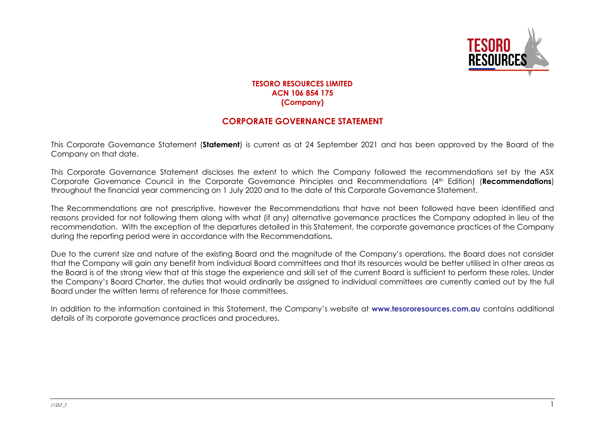

## **TESORO RESOURCES LIMITED ACN 106 854 175 (Company)**

## **CORPORATE GOVERNANCE STATEMENT**

This Corporate Governance Statement (**Statement**) is current as at 24 September 2021 and has been approved by the Board of the Company on that date.

This Corporate Governance Statement discloses the extent to which the Company followed the recommendations set by the ASX Corporate Governance Council in the Corporate Governance Principles and Recommendations (4th Edition) (**Recommendations**) throughout the financial year commencing on 1 July 2020 and to the date of this Corporate Governance Statement.

The Recommendations are not prescriptive, however the Recommendations that have not been followed have been identified and reasons provided for not following them along with what (if any) alternative governance practices the Company adopted in lieu of the recommendation. With the exception of the departures detailed in this Statement, the corporate governance practices of the Company during the reporting period were in accordance with the Recommendations.

Due to the current size and nature of the existing Board and the magnitude of the Company's operations, the Board does not consider that the Company will gain any benefit from individual Board committees and that its resources would be better utilised in other areas as the Board is of the strong view that at this stage the experience and skill set of the current Board is sufficient to perform these roles. Under the Company's Board Charter, the duties that would ordinarily be assigned to individual committees are currently carried out by the full Board under the written terms of reference for those committees.

In addition to the information contained in this Statement, the Company's website at **[www.tesororesources.com.au](http://www.tesororesources.com.au/)** contains additional details of its corporate governance practices and procedures.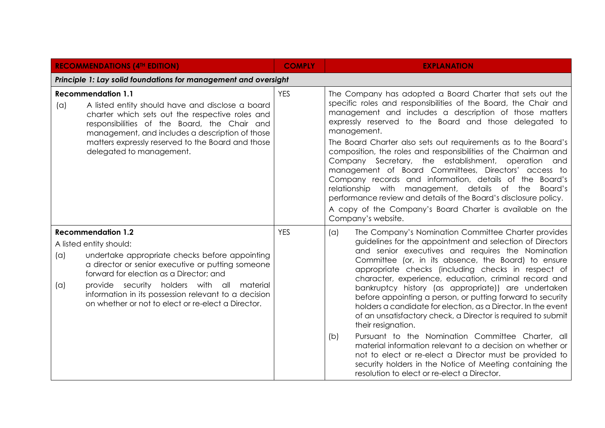| <b>RECOMMENDATIONS (4TH EDITION)</b>                                                                                                                                                                                                                                                                                                                                             | <b>COMPLY</b> | <b>EXPLANATION</b>                                                                                                                                                                                                                                                                                                                                                                                                                                                                                                                                                                                                                                                                                                                                                                                                                                                                                                            |
|----------------------------------------------------------------------------------------------------------------------------------------------------------------------------------------------------------------------------------------------------------------------------------------------------------------------------------------------------------------------------------|---------------|-------------------------------------------------------------------------------------------------------------------------------------------------------------------------------------------------------------------------------------------------------------------------------------------------------------------------------------------------------------------------------------------------------------------------------------------------------------------------------------------------------------------------------------------------------------------------------------------------------------------------------------------------------------------------------------------------------------------------------------------------------------------------------------------------------------------------------------------------------------------------------------------------------------------------------|
| Principle 1: Lay solid foundations for management and oversight                                                                                                                                                                                                                                                                                                                  |               |                                                                                                                                                                                                                                                                                                                                                                                                                                                                                                                                                                                                                                                                                                                                                                                                                                                                                                                               |
| <b>Recommendation 1.1</b><br>A listed entity should have and disclose a board<br>(a)<br>charter which sets out the respective roles and<br>responsibilities of the Board, the Chair and<br>management, and includes a description of those<br>matters expressly reserved to the Board and those<br>delegated to management.                                                      | <b>YES</b>    | The Company has adopted a Board Charter that sets out the<br>specific roles and responsibilities of the Board, the Chair and<br>management and includes a description of those matters<br>expressly reserved to the Board and those delegated to<br>management.<br>The Board Charter also sets out requirements as to the Board's<br>composition, the roles and responsibilities of the Chairman and<br>Company Secretary, the establishment, operation and<br>management of Board Committees, Directors' access to<br>Company records and information, details of the Board's<br>relationship with management, details of the Board's<br>performance review and details of the Board's disclosure policy.<br>A copy of the Company's Board Charter is available on the                                                                                                                                                       |
|                                                                                                                                                                                                                                                                                                                                                                                  |               | Company's website.                                                                                                                                                                                                                                                                                                                                                                                                                                                                                                                                                                                                                                                                                                                                                                                                                                                                                                            |
| <b>Recommendation 1.2</b><br>A listed entity should:<br>(a)<br>undertake appropriate checks before appointing<br>a director or senior executive or putting someone<br>forward for election as a Director; and<br>provide security holders with all material<br>(a)<br>information in its possession relevant to a decision<br>on whether or not to elect or re-elect a Director. | <b>YES</b>    | The Company's Nomination Committee Charter provides<br>(a)<br>guidelines for the appointment and selection of Directors<br>and senior executives and requires the Nomination<br>Committee (or, in its absence, the Board) to ensure<br>appropriate checks (including checks in respect of<br>character, experience, education, criminal record and<br>bankruptcy history (as appropriate)) are undertaken<br>before appointing a person, or putting forward to security<br>holders a candidate for election, as a Director. In the event<br>of an unsatisfactory check, a Director is required to submit<br>their resignation.<br>Pursuant to the Nomination Committee Charter, all<br>(b)<br>material information relevant to a decision on whether or<br>not to elect or re-elect a Director must be provided to<br>security holders in the Notice of Meeting containing the<br>resolution to elect or re-elect a Director. |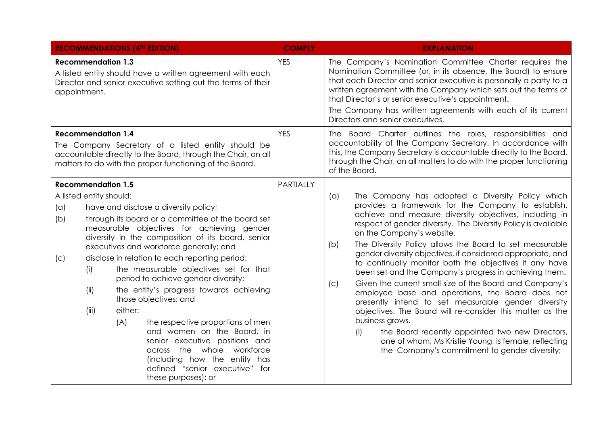| <b>RECOMMENDATIONS (4TH EDITION)</b>                                                                                                                                                                                                                                                                                                                                                                                                                                                                                                                                                                                                                                                                                                                                                                | <b>COMPLY</b> | <b>EXPLANATION</b>                                                                                                                                                                                                                                                                                                                                                                                                                                                                                                                                                                                                                                                                                                                                                                                                                                                                                                                                          |
|-----------------------------------------------------------------------------------------------------------------------------------------------------------------------------------------------------------------------------------------------------------------------------------------------------------------------------------------------------------------------------------------------------------------------------------------------------------------------------------------------------------------------------------------------------------------------------------------------------------------------------------------------------------------------------------------------------------------------------------------------------------------------------------------------------|---------------|-------------------------------------------------------------------------------------------------------------------------------------------------------------------------------------------------------------------------------------------------------------------------------------------------------------------------------------------------------------------------------------------------------------------------------------------------------------------------------------------------------------------------------------------------------------------------------------------------------------------------------------------------------------------------------------------------------------------------------------------------------------------------------------------------------------------------------------------------------------------------------------------------------------------------------------------------------------|
| <b>Recommendation 1.3</b><br>A listed entity should have a written agreement with each<br>Director and senior executive setting out the terms of their<br>appointment.                                                                                                                                                                                                                                                                                                                                                                                                                                                                                                                                                                                                                              | <b>YES</b>    | The Company's Nomination Committee Charter requires the<br>Nomination Committee (or, in its absence, the Board) to ensure<br>that each Director and senior executive is personally a party to a<br>written agreement with the Company which sets out the terms of<br>that Director's or senior executive's appointment.<br>The Company has written agreements with each of its current<br>Directors and senior executives.                                                                                                                                                                                                                                                                                                                                                                                                                                                                                                                                  |
| <b>Recommendation 1.4</b><br>The Company Secretary of a listed entity should be<br>accountable directly to the Board, through the Chair, on all<br>matters to do with the proper functioning of the Board.                                                                                                                                                                                                                                                                                                                                                                                                                                                                                                                                                                                          | <b>YES</b>    | The Board Charter outlines the roles, responsibilities and<br>accountability of the Company Secretary. In accordance with<br>this, the Company Secretary is accountable directly to the Board,<br>through the Chair, on all matters to do with the proper functioning<br>of the Board.                                                                                                                                                                                                                                                                                                                                                                                                                                                                                                                                                                                                                                                                      |
| <b>Recommendation 1.5</b><br>A listed entity should:<br>have and disclose a diversity policy;<br>(a)<br>through its board or a committee of the board set<br>(b)<br>measurable objectives for achieving gender<br>diversity in the composition of its board, senior<br>executives and workforce generally; and<br>disclose in relation to each reporting period:<br>(C)<br>the measurable objectives set for that<br>(i)<br>period to achieve gender diversity;<br>(ii)<br>the entity's progress towards achieving<br>those objectives; and<br>(iii)<br>either:<br>(A)<br>the respective proportions of men<br>and women on the Board, in<br>senior executive positions and<br>across the whole workforce<br>(including how the entity has<br>defined "senior executive" for<br>these purposes); or | PARTIALLY     | The Company has adopted a Diversity Policy which<br>(a)<br>provides a framework for the Company to establish,<br>achieve and measure diversity objectives, including in<br>respect of gender diversity. The Diversity Policy is available<br>on the Company's website.<br>The Diversity Policy allows the Board to set measurable<br>(b)<br>gender diversity objectives, if considered appropriate, and<br>to continually monitor both the objectives if any have<br>been set and the Company's progress in achieving them.<br>Given the current small size of the Board and Company's<br>(c)<br>employee base and operations, the Board does not<br>presently intend to set measurable gender diversity<br>objectives. The Board will re-consider this matter as the<br>business grows.<br>the Board recently appointed two new Directors,<br>(i)<br>one of whom, Ms Kristie Young, is female, reflecting<br>the Company's commitment to gender diversity; |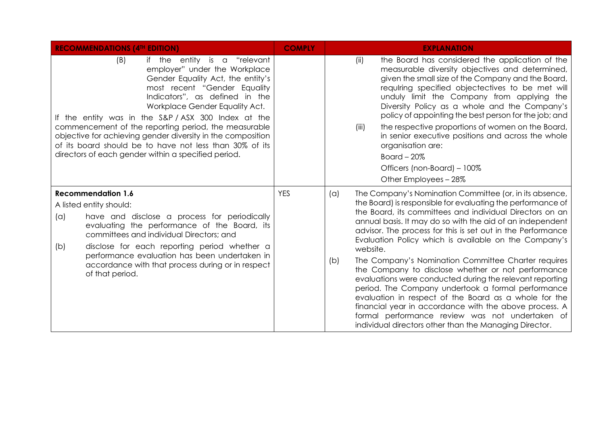| <b>RECOMMENDATIONS (4TH EDITION)</b>                                                                                                                                                                                                                                                                                                                                                                                                                                                                        | <b>COMPLY</b> | <b>EXPLANATION</b>                                                                                                                                                                                                                                                                                                                                                                                                                                                                                                                                                                                                                                                                                                                                                                                                                                                      |  |  |  |
|-------------------------------------------------------------------------------------------------------------------------------------------------------------------------------------------------------------------------------------------------------------------------------------------------------------------------------------------------------------------------------------------------------------------------------------------------------------------------------------------------------------|---------------|-------------------------------------------------------------------------------------------------------------------------------------------------------------------------------------------------------------------------------------------------------------------------------------------------------------------------------------------------------------------------------------------------------------------------------------------------------------------------------------------------------------------------------------------------------------------------------------------------------------------------------------------------------------------------------------------------------------------------------------------------------------------------------------------------------------------------------------------------------------------------|--|--|--|
| (B)<br>if the entity is a "relevant<br>employer" under the Workplace<br>Gender Equality Act, the entity's<br>most recent "Gender Equality<br>Indicators", as defined in the<br>Workplace Gender Equality Act.<br>If the entity was in the S&P/ASX 300 Index at the<br>commencement of the reporting period, the measurable<br>objective for achieving gender diversity in the composition<br>of its board should be to have not less than 30% of its<br>directors of each gender within a specified period. |               | the Board has considered the application of the<br>(ii)<br>measurable diversity objectives and determined,<br>given the small size of the Company and the Board,<br>requiring specified objectectives to be met will<br>unduly limit the Company from applying the<br>Diversity Policy as a whole and the Company's<br>policy of appointing the best person for the job; and<br>the respective proportions of women on the Board,<br>(iii)<br>in senior executive positions and across the whole<br>organisation are:<br>Board $-20\%$<br>Officers (non-Board) - 100%<br>Other Employees - 28%                                                                                                                                                                                                                                                                          |  |  |  |
| <b>Recommendation 1.6</b><br>A listed entity should:<br>have and disclose a process for periodically<br>(a)<br>evaluating the performance of the Board, its<br>committees and individual Directors; and<br>disclose for each reporting period whether a<br>(b)<br>performance evaluation has been undertaken in<br>accordance with that process during or in respect<br>of that period.                                                                                                                     | <b>YES</b>    | The Company's Nomination Committee (or, in its absence,<br>$(\alpha)$<br>the Board) is responsible for evaluating the performance of<br>the Board, its committees and individual Directors on an<br>annual basis. It may do so with the aid of an independent<br>advisor. The process for this is set out in the Performance<br>Evaluation Policy which is available on the Company's<br>website.<br>The Company's Nomination Committee Charter requires<br>(b)<br>the Company to disclose whether or not performance<br>evaluations were conducted during the relevant reporting<br>period. The Company undertook a formal performance<br>evaluation in respect of the Board as a whole for the<br>financial year in accordance with the above process. A<br>formal performance review was not undertaken of<br>individual directors other than the Managing Director. |  |  |  |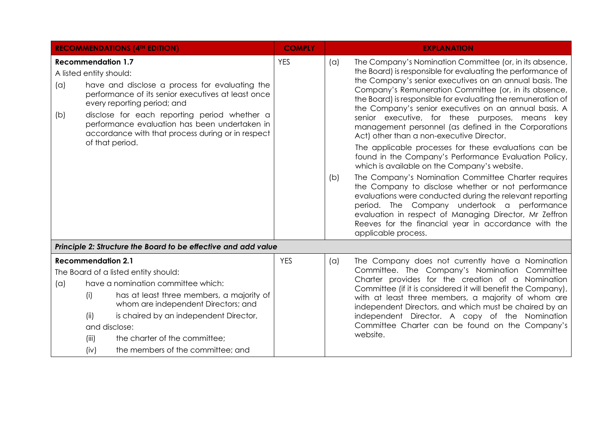| <b>RECOMMENDATIONS (4TH EDITION)</b>                                                                                                                                                                                                                                                                                                                                               | <b>COMPLY</b> | <b>EXPLANATION</b>                                                                                                                                                                                                                                                                                                                                                                                                                                                                                                                                                                                                                                                                                                                                                                                                                                                                                                                                                                                                                                                           |
|------------------------------------------------------------------------------------------------------------------------------------------------------------------------------------------------------------------------------------------------------------------------------------------------------------------------------------------------------------------------------------|---------------|------------------------------------------------------------------------------------------------------------------------------------------------------------------------------------------------------------------------------------------------------------------------------------------------------------------------------------------------------------------------------------------------------------------------------------------------------------------------------------------------------------------------------------------------------------------------------------------------------------------------------------------------------------------------------------------------------------------------------------------------------------------------------------------------------------------------------------------------------------------------------------------------------------------------------------------------------------------------------------------------------------------------------------------------------------------------------|
| <b>Recommendation 1.7</b><br>A listed entity should:<br>have and disclose a process for evaluating the<br>(a)<br>performance of its senior executives at least once<br>every reporting period; and<br>disclose for each reporting period whether a<br>(b)<br>performance evaluation has been undertaken in<br>accordance with that process during or in respect<br>of that period. | <b>YES</b>    | The Company's Nomination Committee (or, in its absence,<br>(a)<br>the Board) is responsible for evaluating the performance of<br>the Company's senior executives on an annual basis. The<br>Company's Remuneration Committee (or, in its absence,<br>the Board) is responsible for evaluating the remuneration of<br>the Company's senior executives on an annual basis. A<br>senior executive, for these purposes, means key<br>management personnel (as defined in the Corporations<br>Act) other than a non-executive Director.<br>The applicable processes for these evaluations can be<br>found in the Company's Performance Evaluation Policy,<br>which is available on the Company's website.<br>The Company's Nomination Committee Charter requires<br>(b)<br>the Company to disclose whether or not performance<br>evaluations were conducted during the relevant reporting<br>period. The Company undertook a performance<br>evaluation in respect of Managing Director, Mr Zeffron<br>Reeves for the financial year in accordance with the<br>applicable process. |
| Principle 2: Structure the Board to be effective and add value                                                                                                                                                                                                                                                                                                                     |               |                                                                                                                                                                                                                                                                                                                                                                                                                                                                                                                                                                                                                                                                                                                                                                                                                                                                                                                                                                                                                                                                              |
| <b>Recommendation 2.1</b><br>The Board of a listed entity should:<br>have a nomination committee which:<br>(a)<br>has at least three members, a majority of<br>(i)<br>whom are independent Directors; and<br>(ii)<br>is chaired by an independent Director,<br>and disclose:<br>(iii)<br>the charter of the committee;<br>the members of the committee; and<br>(iv)                | <b>YES</b>    | The Company does not currently have a Nomination<br>(a)<br>Committee. The Company's Nomination Committee<br>Charter provides for the creation of a Nomination<br>Committee (if it is considered it will benefit the Company),<br>with at least three members, a majority of whom are<br>independent Directors, and which must be chaired by an<br>independent Director. A copy of the Nomination<br>Committee Charter can be found on the Company's<br>website.                                                                                                                                                                                                                                                                                                                                                                                                                                                                                                                                                                                                              |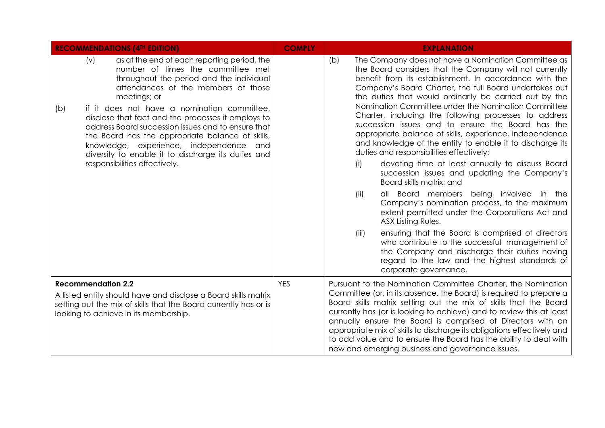| <b>RECOMMENDATIONS (4TH EDITION)</b>                                                                                                                                                                                                                                                                                                                                                                                                                                                                                                               | <b>COMPLY</b> | <b>EXPLANATION</b>                                                                                                                                                                                                                                                                                                                                                                                                                                                                                                                                                                                                                                                                                                                                                                                                                                                                                                                                                                                                                                                                                                                                                                                          |
|----------------------------------------------------------------------------------------------------------------------------------------------------------------------------------------------------------------------------------------------------------------------------------------------------------------------------------------------------------------------------------------------------------------------------------------------------------------------------------------------------------------------------------------------------|---------------|-------------------------------------------------------------------------------------------------------------------------------------------------------------------------------------------------------------------------------------------------------------------------------------------------------------------------------------------------------------------------------------------------------------------------------------------------------------------------------------------------------------------------------------------------------------------------------------------------------------------------------------------------------------------------------------------------------------------------------------------------------------------------------------------------------------------------------------------------------------------------------------------------------------------------------------------------------------------------------------------------------------------------------------------------------------------------------------------------------------------------------------------------------------------------------------------------------------|
| (v)<br>as at the end of each reporting period, the<br>number of times the committee met<br>throughout the period and the individual<br>attendances of the members at those<br>meetings; or<br>if it does not have a nomination committee,<br>(b)<br>disclose that fact and the processes it employs to<br>address Board succession issues and to ensure that<br>the Board has the appropriate balance of skills,<br>knowledge, experience, independence and<br>diversity to enable it to discharge its duties and<br>responsibilities effectively. |               | The Company does not have a Nomination Committee as<br>(b)<br>the Board considers that the Company will not currently<br>benefit from its establishment. In accordance with the<br>Company's Board Charter, the full Board undertakes out<br>the duties that would ordinarily be carried out by the<br>Nomination Committee under the Nomination Committee<br>Charter, including the following processes to address<br>succession issues and to ensure the Board has the<br>appropriate balance of skills, experience, independence<br>and knowledge of the entity to enable it to discharge its<br>duties and responsibilities effectively:<br>devoting time at least annually to discuss Board<br>(i)<br>succession issues and updating the Company's<br>Board skills matrix; and<br>all Board members being involved in the<br>(ii)<br>Company's nomination process, to the maximum<br>extent permitted under the Corporations Act and<br>ASX Listing Rules.<br>ensuring that the Board is comprised of directors<br>(iii)<br>who contribute to the successful management of<br>the Company and discharge their duties having<br>regard to the law and the highest standards of<br>corporate governance. |
| <b>Recommendation 2.2</b><br>A listed entity should have and disclose a Board skills matrix<br>setting out the mix of skills that the Board currently has or is<br>looking to achieve in its membership.                                                                                                                                                                                                                                                                                                                                           | <b>YES</b>    | Pursuant to the Nomination Committee Charter, the Nomination<br>Committee (or, in its absence, the Board) is required to prepare a<br>Board skills matrix setting out the mix of skills that the Board<br>currently has (or is looking to achieve) and to review this at least<br>annually ensure the Board is comprised of Directors with an<br>appropriate mix of skills to discharge its obligations effectively and<br>to add value and to ensure the Board has the ability to deal with<br>new and emerging business and governance issues.                                                                                                                                                                                                                                                                                                                                                                                                                                                                                                                                                                                                                                                            |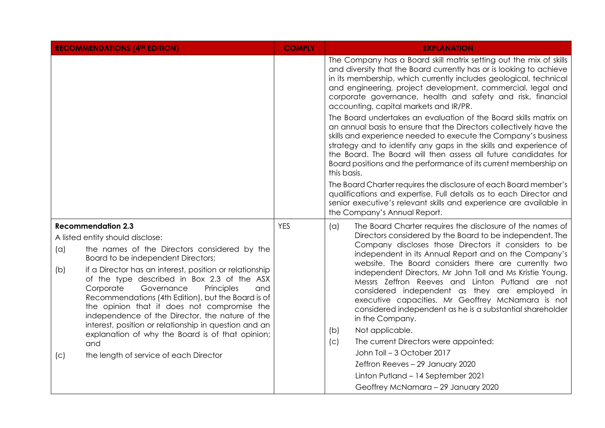|     | <b>RECOMMENDATIONS (4TH EDITION)</b>                                                                                                                                                                                                                                                                           | <b>COMPLY</b> |             | <b>EXPLANATION</b>                                                                                                                                                                                                                                                                                                                                                                                                   |                                                                                                                                                                                                                                                                                                                                                              |
|-----|----------------------------------------------------------------------------------------------------------------------------------------------------------------------------------------------------------------------------------------------------------------------------------------------------------------|---------------|-------------|----------------------------------------------------------------------------------------------------------------------------------------------------------------------------------------------------------------------------------------------------------------------------------------------------------------------------------------------------------------------------------------------------------------------|--------------------------------------------------------------------------------------------------------------------------------------------------------------------------------------------------------------------------------------------------------------------------------------------------------------------------------------------------------------|
|     |                                                                                                                                                                                                                                                                                                                |               |             | The Company has a Board skill matrix setting out the mix of skills<br>and diversity that the Board currently has or is looking to achieve<br>in its membership, which currently includes geological, technical<br>and engineering, project development, commercial, legal and<br>corporate governance, health and safety and risk, financial<br>accounting, capital markets and IR/PR.                               |                                                                                                                                                                                                                                                                                                                                                              |
|     |                                                                                                                                                                                                                                                                                                                |               | this basis. | The Board undertakes an evaluation of the Board skills matrix on<br>an annual basis to ensure that the Directors collectively have the<br>skills and experience needed to execute the Company's business<br>strategy and to identify any gaps in the skills and experience of<br>the Board. The Board will then assess all future candidates for<br>Board positions and the performance of its current membership on |                                                                                                                                                                                                                                                                                                                                                              |
|     |                                                                                                                                                                                                                                                                                                                |               |             | The Board Charter requires the disclosure of each Board member's<br>qualifications and expertise. Full details as to each Director and<br>senior executive's relevant skills and experience are available in<br>the Company's Annual Report.                                                                                                                                                                         |                                                                                                                                                                                                                                                                                                                                                              |
|     | <b>Recommendation 2.3</b>                                                                                                                                                                                                                                                                                      | <b>YES</b>    | (a)         | The Board Charter requires the disclosure of the names of                                                                                                                                                                                                                                                                                                                                                            |                                                                                                                                                                                                                                                                                                                                                              |
|     | A listed entity should disclose:                                                                                                                                                                                                                                                                               |               |             | Directors considered by the Board to be independent. The                                                                                                                                                                                                                                                                                                                                                             |                                                                                                                                                                                                                                                                                                                                                              |
| (a) | the names of the Directors considered by the<br>Board to be independent Directors;                                                                                                                                                                                                                             |               |             | Company discloses those Directors it considers to be<br>independent in its Annual Report and on the Company's                                                                                                                                                                                                                                                                                                        |                                                                                                                                                                                                                                                                                                                                                              |
| (b) | if a Director has an interest, position or relationship<br>of the type described in Box 2.3 of the ASX<br>Corporate<br>Governance<br>Principles<br>and<br>Recommendations (4th Edition), but the Board is of<br>the opinion that it does not compromise the<br>independence of the Director, the nature of the |               |             |                                                                                                                                                                                                                                                                                                                                                                                                                      | website. The Board considers there are currently two<br>independent Directors, Mr John Toll and Ms Kristie Young.<br>Messrs Zeffron Reeves and Linton Putland are not<br>considered independent as they are employed in<br>executive capacities. Mr Geoffrey McNamara is not<br>considered independent as he is a substantial shareholder<br>in the Company. |
|     | interest, position or relationship in question and an<br>explanation of why the Board is of that opinion;                                                                                                                                                                                                      |               | (b)         | Not applicable.                                                                                                                                                                                                                                                                                                                                                                                                      |                                                                                                                                                                                                                                                                                                                                                              |
|     | and                                                                                                                                                                                                                                                                                                            |               | (c)         | The current Directors were appointed:                                                                                                                                                                                                                                                                                                                                                                                |                                                                                                                                                                                                                                                                                                                                                              |
| (C) | the length of service of each Director                                                                                                                                                                                                                                                                         |               |             | John Toll - 3 October 2017                                                                                                                                                                                                                                                                                                                                                                                           |                                                                                                                                                                                                                                                                                                                                                              |
|     |                                                                                                                                                                                                                                                                                                                |               |             | Zeffron Reeves - 29 January 2020                                                                                                                                                                                                                                                                                                                                                                                     |                                                                                                                                                                                                                                                                                                                                                              |
|     |                                                                                                                                                                                                                                                                                                                |               |             | Linton Putland - 14 September 2021                                                                                                                                                                                                                                                                                                                                                                                   |                                                                                                                                                                                                                                                                                                                                                              |
|     |                                                                                                                                                                                                                                                                                                                |               |             | Geoffrey McNamara - 29 January 2020                                                                                                                                                                                                                                                                                                                                                                                  |                                                                                                                                                                                                                                                                                                                                                              |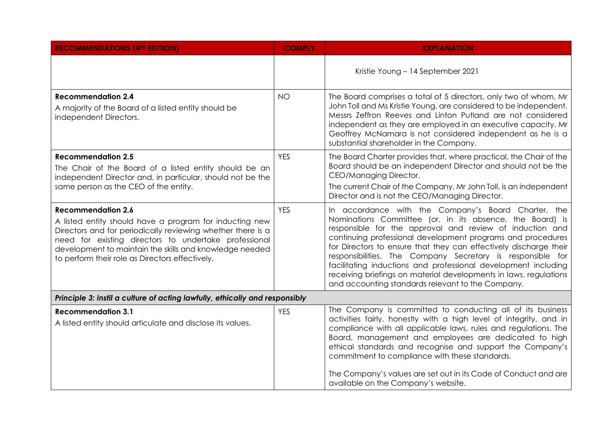| <b>RECOMMENDATIONS (4TH EDITION)</b>                                                                                                                                                                                                                                                                                       | <b>COMPLY</b> | <b>EXPLANATION</b>                                                                                                                                                                                                                                                                                                                                                                                                                                                                                                                                                        |
|----------------------------------------------------------------------------------------------------------------------------------------------------------------------------------------------------------------------------------------------------------------------------------------------------------------------------|---------------|---------------------------------------------------------------------------------------------------------------------------------------------------------------------------------------------------------------------------------------------------------------------------------------------------------------------------------------------------------------------------------------------------------------------------------------------------------------------------------------------------------------------------------------------------------------------------|
|                                                                                                                                                                                                                                                                                                                            |               | Kristie Young - 14 September 2021                                                                                                                                                                                                                                                                                                                                                                                                                                                                                                                                         |
| <b>Recommendation 2.4</b><br>A majority of the Board of a listed entity should be<br>independent Directors.                                                                                                                                                                                                                | <b>NO</b>     | The Board comprises a total of 5 directors, only two of whom, Mr<br>John Toll and Ms Kristie Young, are considered to be independent.<br>Messrs Zeffron Reeves and Linton Putland are not considered<br>independent as they are employed in an executive capacity. Mr<br>Geoffrey McNamara is not considered independent as he is a<br>substantial shareholder in the Company.                                                                                                                                                                                            |
| <b>Recommendation 2.5</b><br>The Chair of the Board of a listed entity should be an<br>independent Director and, in particular, should not be the<br>same person as the CEO of the entity.                                                                                                                                 | <b>YES</b>    | The Board Charter provides that, where practical, the Chair of the<br>Board should be an independent Director and should not be the<br>CEO/Managing Director.<br>The current Chair of the Company, Mr John Toll, is an independent<br>Director and is not the CEO/Managing Director.                                                                                                                                                                                                                                                                                      |
| <b>Recommendation 2.6</b><br>A listed entity should have a program for inducting new<br>Directors and for periodically reviewing whether there is a<br>need for existing directors to undertake professional<br>development to maintain the skills and knowledge needed<br>to perform their role as Directors effectively. | <b>YES</b>    | In accordance with the Company's Board Charter, the<br>Nominations Committee (or, in its absence, the Board) is<br>responsible for the approval and review of induction and<br>continuing professional development programs and procedures<br>for Directors to ensure that they can effectively discharge their<br>responsibilities. The Company Secretary is responsible for<br>facilitating inductions and professional development including<br>receiving briefings on material developments in laws, regulations<br>and accounting standards relevant to the Company. |
| Principle 3: Instil a culture of acting lawfully, ethically and responsibly                                                                                                                                                                                                                                                |               |                                                                                                                                                                                                                                                                                                                                                                                                                                                                                                                                                                           |
| <b>Recommendation 3.1</b><br>A listed entity should articulate and disclose its values.                                                                                                                                                                                                                                    | <b>YES</b>    | The Company is committed to conducting all of its business<br>activities fairly, honestly with a high level of integrity, and in<br>compliance with all applicable laws, rules and regulations. The<br>Board, management and employees are dedicated to high<br>ethical standards and recognise and support the Company's<br>commitment to compliance with these standards.<br>The Company's values are set out in its Code of Conduct and are<br>available on the Company's website.                                                                                     |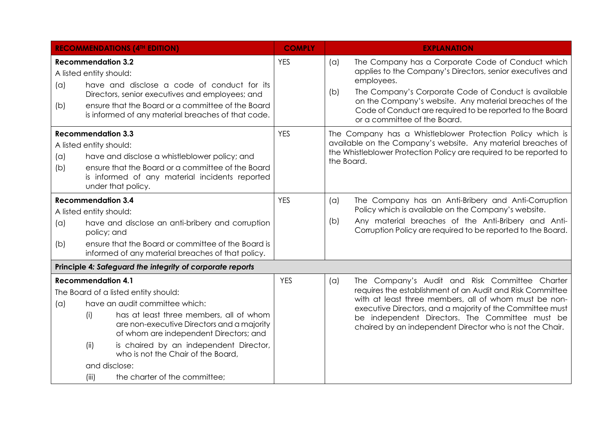|            |                                                                                                                                                                                                                                                  | <b>RECOMMENDATIONS (4TH EDITION)</b>                                                                                                                                                                                                                                                                                       | <b>COMPLY</b> |                                                                                                                                                                                                  | <b>EXPLANATION</b>                                                                                                                                                                                                                                                                                                                               |
|------------|--------------------------------------------------------------------------------------------------------------------------------------------------------------------------------------------------------------------------------------------------|----------------------------------------------------------------------------------------------------------------------------------------------------------------------------------------------------------------------------------------------------------------------------------------------------------------------------|---------------|--------------------------------------------------------------------------------------------------------------------------------------------------------------------------------------------------|--------------------------------------------------------------------------------------------------------------------------------------------------------------------------------------------------------------------------------------------------------------------------------------------------------------------------------------------------|
| (a)<br>(b) | <b>Recommendation 3.2</b><br>A listed entity should:                                                                                                                                                                                             | have and disclose a code of conduct for its<br>Directors, senior executives and employees; and<br>ensure that the Board or a committee of the Board<br>is informed of any material breaches of that code.                                                                                                                  | <b>YES</b>    | (a)<br>(b)                                                                                                                                                                                       | The Company has a Corporate Code of Conduct which<br>applies to the Company's Directors, senior executives and<br>employees.<br>The Company's Corporate Code of Conduct is available<br>on the Company's website. Any material breaches of the<br>Code of Conduct are required to be reported to the Board<br>or a committee of the Board.       |
| (a)<br>(b) | <b>YES</b><br><b>Recommendation 3.3</b><br>A listed entity should:<br>have and disclose a whistleblower policy; and<br>ensure that the Board or a committee of the Board<br>is informed of any material incidents reported<br>under that policy. |                                                                                                                                                                                                                                                                                                                            | the Board.    | The Company has a Whistleblower Protection Policy which is<br>available on the Company's website. Any material breaches of<br>the Whistleblower Protection Policy are required to be reported to |                                                                                                                                                                                                                                                                                                                                                  |
| (a)<br>(b) | <b>Recommendation 3.4</b><br>A listed entity should:<br>policy; and                                                                                                                                                                              | have and disclose an anti-bribery and corruption<br>ensure that the Board or committee of the Board is<br>informed of any material breaches of that policy.                                                                                                                                                                | <b>YES</b>    | (a)<br>(b)                                                                                                                                                                                       | The Company has an Anti-Bribery and Anti-Corruption<br>Policy which is available on the Company's website.<br>Any material breaches of the Anti-Bribery and Anti-<br>Corruption Policy are required to be reported to the Board.                                                                                                                 |
|            |                                                                                                                                                                                                                                                  | Principle 4: Safeguard the integrity of corporate reports                                                                                                                                                                                                                                                                  |               |                                                                                                                                                                                                  |                                                                                                                                                                                                                                                                                                                                                  |
| (a)        | <b>Recommendation 4.1</b><br>(i)<br>(ii)<br>and disclose:<br>(iii)                                                                                                                                                                               | The Board of a listed entity should:<br>have an audit committee which:<br>has at least three members, all of whom<br>are non-executive Directors and a majority<br>of whom are independent Directors; and<br>is chaired by an independent Director,<br>who is not the Chair of the Board,<br>the charter of the committee; | <b>YES</b>    | (a)                                                                                                                                                                                              | The Company's Audit and Risk Committee Charter<br>requires the establishment of an Audit and Risk Committee<br>with at least three members, all of whom must be non-<br>executive Directors, and a majority of the Committee must<br>be independent Directors. The Committee must be<br>chaired by an independent Director who is not the Chair. |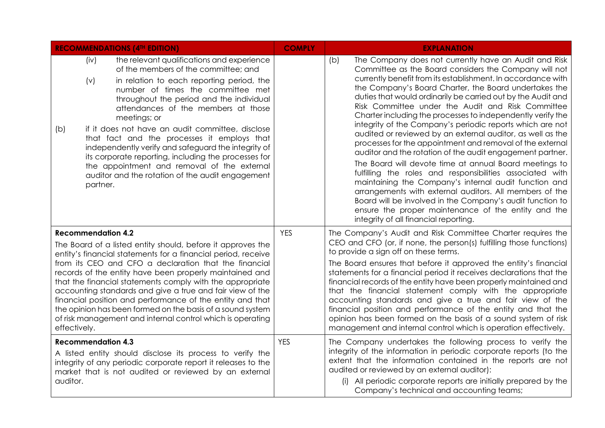| <b>RECOMMENDATIONS (4TH EDITION)</b> |                           | <b>COMPLY</b>                                                                                                                                                                                                                                                                                                                                                                                                                                                                                                                                                                                | <b>EXPLANATION</b> |                                                                                                                                                                                                                                                                                                                                                                                                                                                                                                                                                                                                                                                                                                                                                                                                                                                                                                                                                                                                                                                                                                 |
|--------------------------------------|---------------------------|----------------------------------------------------------------------------------------------------------------------------------------------------------------------------------------------------------------------------------------------------------------------------------------------------------------------------------------------------------------------------------------------------------------------------------------------------------------------------------------------------------------------------------------------------------------------------------------------|--------------------|-------------------------------------------------------------------------------------------------------------------------------------------------------------------------------------------------------------------------------------------------------------------------------------------------------------------------------------------------------------------------------------------------------------------------------------------------------------------------------------------------------------------------------------------------------------------------------------------------------------------------------------------------------------------------------------------------------------------------------------------------------------------------------------------------------------------------------------------------------------------------------------------------------------------------------------------------------------------------------------------------------------------------------------------------------------------------------------------------|
| (b)                                  | (iv)<br>(v)<br>partner.   | the relevant qualifications and experience<br>of the members of the committee; and<br>in relation to each reporting period, the<br>number of times the committee met<br>throughout the period and the individual<br>attendances of the members at those<br>meetings; or<br>if it does not have an audit committee, disclose<br>that fact and the processes it employs that<br>independently verify and safeguard the integrity of<br>its corporate reporting, including the processes for<br>the appointment and removal of the external<br>auditor and the rotation of the audit engagement |                    | The Company does not currently have an Audit and Risk<br>(b)<br>Committee as the Board considers the Company will not<br>currently benefit from its establishment. In accordance with<br>the Company's Board Charter, the Board undertakes the<br>duties that would ordinarily be carried out by the Audit and<br>Risk Committee under the Audit and Risk Committee<br>Charter including the processes to independently verify the<br>integrity of the Company's periodic reports which are not<br>audited or reviewed by an external auditor, as well as the<br>processes for the appointment and removal of the external<br>auditor and the rotation of the audit engagement partner.<br>The Board will devote time at annual Board meetings to<br>fulfilling the roles and responsibilities associated with<br>maintaining the Company's internal audit function and<br>arrangements with external auditors. All members of the<br>Board will be involved in the Company's audit function to<br>ensure the proper maintenance of the entity and the<br>integrity of all financial reporting. |
| effectively.                         | <b>Recommendation 4.2</b> | The Board of a listed entity should, before it approves the<br>entity's financial statements for a financial period, receive<br>from its CEO and CFO a declaration that the financial<br>records of the entity have been properly maintained and<br>that the financial statements comply with the appropriate<br>accounting standards and give a true and fair view of the<br>financial position and performance of the entity and that<br>the opinion has been formed on the basis of a sound system<br>of risk management and internal control which is operating                          | <b>YES</b>         | The Company's Audit and Risk Committee Charter requires the<br>CEO and CFO (or, if none, the person(s) fulfilling those functions)<br>to provide a sign off on these terms.<br>The Board ensures that before it approved the entity's financial<br>statements for a financial period it receives declarations that the<br>financial records of the entity have been properly maintained and<br>that the financial statement comply with the appropriate<br>accounting standards and give a true and fair view of the<br>financial position and performance of the entity and that the<br>opinion has been formed on the basis of a sound system of risk<br>management and internal control which is operation effectively.                                                                                                                                                                                                                                                                                                                                                                      |
| auditor.                             | <b>Recommendation 4.3</b> | A listed entity should disclose its process to verify the<br>integrity of any periodic corporate report it releases to the<br>market that is not audited or reviewed by an external                                                                                                                                                                                                                                                                                                                                                                                                          | <b>YES</b>         | The Company undertakes the following process to verify the<br>integrity of the information in periodic corporate reports (to the<br>extent that the information contained in the reports are not<br>audited or reviewed by an external auditor):<br>(i) All periodic corporate reports are initially prepared by the<br>Company's technical and accounting teams;                                                                                                                                                                                                                                                                                                                                                                                                                                                                                                                                                                                                                                                                                                                               |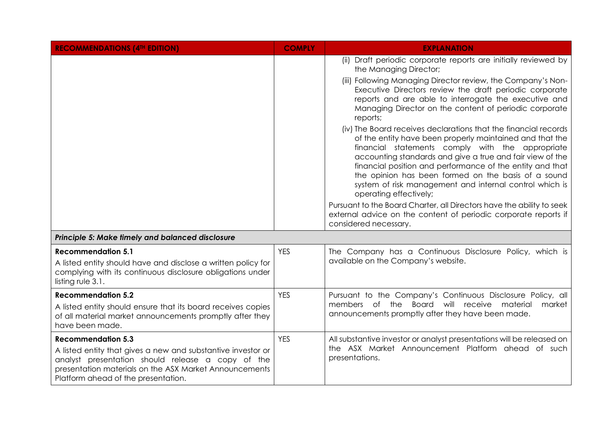| <b>RECOMMENDATIONS (4TH EDITION)</b>                                                                                                                                                                                                            | <b>COMPLY</b> | <b>EXPLANATION</b>                                                                                                                                                                                                                                                                                                                                                                                                                                    |
|-------------------------------------------------------------------------------------------------------------------------------------------------------------------------------------------------------------------------------------------------|---------------|-------------------------------------------------------------------------------------------------------------------------------------------------------------------------------------------------------------------------------------------------------------------------------------------------------------------------------------------------------------------------------------------------------------------------------------------------------|
|                                                                                                                                                                                                                                                 |               | (ii) Draft periodic corporate reports are initially reviewed by<br>the Managing Director;                                                                                                                                                                                                                                                                                                                                                             |
|                                                                                                                                                                                                                                                 |               | (iii) Following Managing Director review, the Company's Non-<br>Executive Directors review the draft periodic corporate<br>reports and are able to interrogate the executive and<br>Managing Director on the content of periodic corporate<br>reports;                                                                                                                                                                                                |
|                                                                                                                                                                                                                                                 |               | (iv) The Board receives declarations that the financial records<br>of the entity have been properly maintained and that the<br>financial statements comply with the appropriate<br>accounting standards and give a true and fair view of the<br>financial position and performance of the entity and that<br>the opinion has been formed on the basis of a sound<br>system of risk management and internal control which is<br>operating effectively; |
|                                                                                                                                                                                                                                                 |               | Pursuant to the Board Charter, all Directors have the ability to seek<br>external advice on the content of periodic corporate reports if<br>considered necessary.                                                                                                                                                                                                                                                                                     |
| Principle 5: Make timely and balanced disclosure                                                                                                                                                                                                |               |                                                                                                                                                                                                                                                                                                                                                                                                                                                       |
| <b>Recommendation 5.1</b><br>A listed entity should have and disclose a written policy for<br>complying with its continuous disclosure obligations under<br>listing rule $3.1$ .                                                                | <b>YES</b>    | The Company has a Continuous Disclosure Policy, which is<br>available on the Company's website.                                                                                                                                                                                                                                                                                                                                                       |
| <b>Recommendation 5.2</b><br>A listed entity should ensure that its board receives copies<br>of all material market announcements promptly after they<br>have been made.                                                                        | <b>YES</b>    | Pursuant to the Company's Continuous Disclosure Policy, all<br>members of the Board will receive material<br>market<br>announcements promptly after they have been made.                                                                                                                                                                                                                                                                              |
| <b>Recommendation 5.3</b><br>A listed entity that gives a new and substantive investor or<br>analyst presentation should release a copy of the<br>presentation materials on the ASX Market Announcements<br>Platform ahead of the presentation. | <b>YES</b>    | All substantive investor or analyst presentations will be released on<br>the ASX Market Announcement Platform ahead of such<br>presentations.                                                                                                                                                                                                                                                                                                         |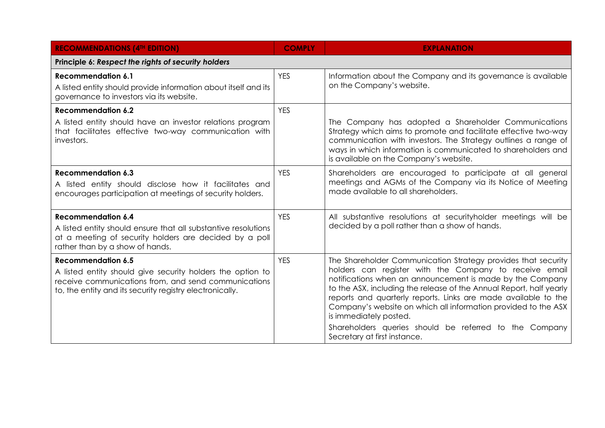| <b>RECOMMENDATIONS (4TH EDITION)</b>                                                                                                                                                                        | <b>COMPLY</b> | <b>EXPLANATION</b>                                                                                                                                                                                                                                                                                                                                                                                                                                                                                                  |  |  |  |  |
|-------------------------------------------------------------------------------------------------------------------------------------------------------------------------------------------------------------|---------------|---------------------------------------------------------------------------------------------------------------------------------------------------------------------------------------------------------------------------------------------------------------------------------------------------------------------------------------------------------------------------------------------------------------------------------------------------------------------------------------------------------------------|--|--|--|--|
| Principle 6: Respect the rights of security holders                                                                                                                                                         |               |                                                                                                                                                                                                                                                                                                                                                                                                                                                                                                                     |  |  |  |  |
| <b>Recommendation 6.1</b><br>A listed entity should provide information about itself and its<br>governance to investors via its website.                                                                    | <b>YES</b>    | Information about the Company and its governance is available<br>on the Company's website.                                                                                                                                                                                                                                                                                                                                                                                                                          |  |  |  |  |
| <b>Recommendation 6.2</b><br>A listed entity should have an investor relations program<br>that facilitates effective two-way communication with<br>investors.                                               | <b>YES</b>    | The Company has adopted a Shareholder Communications<br>Strategy which aims to promote and facilitate effective two-way<br>communication with investors. The Strategy outlines a range of<br>ways in which information is communicated to shareholders and<br>is available on the Company's website.                                                                                                                                                                                                                |  |  |  |  |
| <b>Recommendation 6.3</b><br>A listed entity should disclose how it facilitates and<br>encourages participation at meetings of security holders.                                                            | <b>YES</b>    | Shareholders are encouraged to participate at all general<br>meetings and AGMs of the Company via its Notice of Meeting<br>made available to all shareholders.                                                                                                                                                                                                                                                                                                                                                      |  |  |  |  |
| <b>Recommendation 6.4</b><br>A listed entity should ensure that all substantive resolutions<br>at a meeting of security holders are decided by a poll<br>rather than by a show of hands.                    | <b>YES</b>    | All substantive resolutions at securityholder meetings will be<br>decided by a poll rather than a show of hands.                                                                                                                                                                                                                                                                                                                                                                                                    |  |  |  |  |
| <b>Recommendation 6.5</b><br>A listed entity should give security holders the option to<br>receive communications from, and send communications<br>to, the entity and its security registry electronically. | <b>YES</b>    | The Shareholder Communication Strategy provides that security<br>holders can register with the Company to receive email<br>notifications when an announcement is made by the Company<br>to the ASX, including the release of the Annual Report, half yearly<br>reports and quarterly reports. Links are made available to the<br>Company's website on which all information provided to the ASX<br>is immediately posted.<br>Shareholders queries should be referred to the Company<br>Secretary at first instance. |  |  |  |  |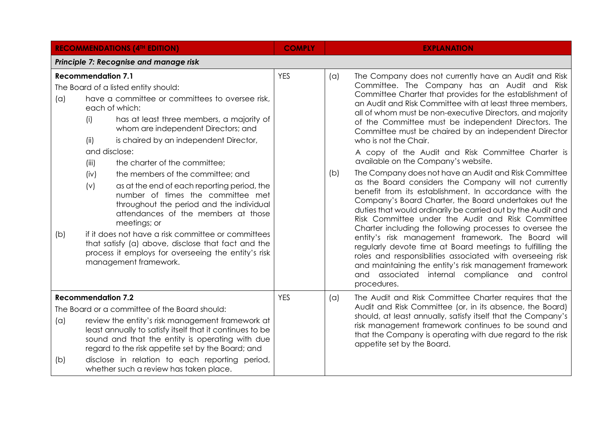|            |                                                                                   | <b>RECOMMENDATIONS (4TH EDITION)</b>                                                                                                                                                                                                                                                                                                                                                                                                                                                                                                                                                                                                                                                             | <b>COMPLY</b> |            | <b>EXPLANATION</b>                                                                                                                                                                                                                                                                                                                                                                                                                                                                                                                                                                                                                                                                                                                                                                                                                                                                                                                                                                                                                                                                                                                                                                                                                                               |
|------------|-----------------------------------------------------------------------------------|--------------------------------------------------------------------------------------------------------------------------------------------------------------------------------------------------------------------------------------------------------------------------------------------------------------------------------------------------------------------------------------------------------------------------------------------------------------------------------------------------------------------------------------------------------------------------------------------------------------------------------------------------------------------------------------------------|---------------|------------|------------------------------------------------------------------------------------------------------------------------------------------------------------------------------------------------------------------------------------------------------------------------------------------------------------------------------------------------------------------------------------------------------------------------------------------------------------------------------------------------------------------------------------------------------------------------------------------------------------------------------------------------------------------------------------------------------------------------------------------------------------------------------------------------------------------------------------------------------------------------------------------------------------------------------------------------------------------------------------------------------------------------------------------------------------------------------------------------------------------------------------------------------------------------------------------------------------------------------------------------------------------|
|            |                                                                                   | Principle 7: Recognise and manage risk                                                                                                                                                                                                                                                                                                                                                                                                                                                                                                                                                                                                                                                           |               |            |                                                                                                                                                                                                                                                                                                                                                                                                                                                                                                                                                                                                                                                                                                                                                                                                                                                                                                                                                                                                                                                                                                                                                                                                                                                                  |
| (a)<br>(b) | <b>Recommendation 7.1</b><br>(i)<br>(ii)<br>and disclose:<br>(iii)<br>(iv)<br>(v) | The Board of a listed entity should:<br>have a committee or committees to oversee risk,<br>each of which:<br>has at least three members, a majority of<br>whom are independent Directors; and<br>is chaired by an independent Director,<br>the charter of the committee;<br>the members of the committee; and<br>as at the end of each reporting period, the<br>number of times the committee met<br>throughout the period and the individual<br>attendances of the members at those<br>meetings; or<br>if it does not have a risk committee or committees<br>that satisfy (a) above, disclose that fact and the<br>process it employs for overseeing the entity's risk<br>management framework. | <b>YES</b>    | (a)<br>(b) | The Company does not currently have an Audit and Risk<br>Committee. The Company has an Audit and Risk<br>Committee Charter that provides for the establishment of<br>an Audit and Risk Committee with at least three members,<br>all of whom must be non-executive Directors, and majority<br>of the Committee must be independent Directors. The<br>Committee must be chaired by an independent Director<br>who is not the Chair.<br>A copy of the Audit and Risk Committee Charter is<br>available on the Company's website.<br>The Company does not have an Audit and Risk Committee<br>as the Board considers the Company will not currently<br>benefit from its establishment. In accordance with the<br>Company's Board Charter, the Board undertakes out the<br>duties that would ordinarily be carried out by the Audit and<br>Risk Committee under the Audit and Risk Committee<br>Charter including the following processes to oversee the<br>entity's risk management framework. The Board will<br>regularly devote time at Board meetings to fulfilling the<br>roles and responsibilities associated with overseeing risk<br>and maintaining the entity's risk management framework<br>and associated internal compliance and control<br>procedures. |
| (a)<br>(b) | <b>Recommendation 7.2</b>                                                         | The Board or a committee of the Board should:<br>review the entity's risk management framework at<br>least annually to satisfy itself that it continues to be<br>sound and that the entity is operating with due<br>regard to the risk appetite set by the Board; and<br>disclose in relation to each reporting period,<br>whether such a review has taken place.                                                                                                                                                                                                                                                                                                                                | <b>YES</b>    | (a)        | The Audit and Risk Committee Charter requires that the<br>Audit and Risk Committee (or, in its absence, the Board)<br>should, at least annually, satisfy itself that the Company's<br>risk management framework continues to be sound and<br>that the Company is operating with due regard to the risk<br>appetite set by the Board.                                                                                                                                                                                                                                                                                                                                                                                                                                                                                                                                                                                                                                                                                                                                                                                                                                                                                                                             |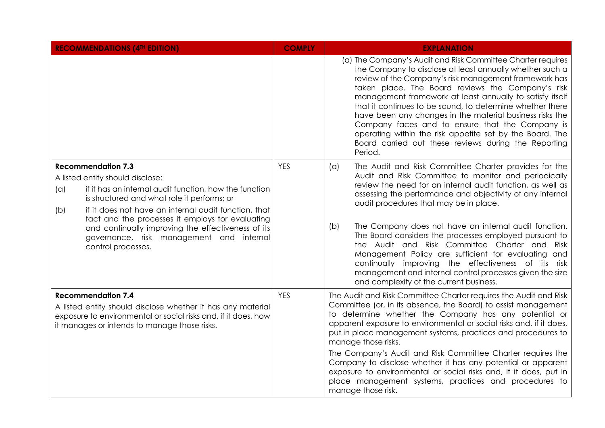| <b>RECOMMENDATIONS (4TH EDITION)</b>                                                                                                                                                                                                                                                                                                                                                                                     | <b>COMPLY</b> | <b>EXPLANATION</b>                                                                                                                                                                                                                                                                                                                                                                                                                                                                                                                                                                                                                                                                               |
|--------------------------------------------------------------------------------------------------------------------------------------------------------------------------------------------------------------------------------------------------------------------------------------------------------------------------------------------------------------------------------------------------------------------------|---------------|--------------------------------------------------------------------------------------------------------------------------------------------------------------------------------------------------------------------------------------------------------------------------------------------------------------------------------------------------------------------------------------------------------------------------------------------------------------------------------------------------------------------------------------------------------------------------------------------------------------------------------------------------------------------------------------------------|
|                                                                                                                                                                                                                                                                                                                                                                                                                          |               | (a) The Company's Audit and Risk Committee Charter requires<br>the Company to disclose at least annually whether such a<br>review of the Company's risk management framework has<br>taken place. The Board reviews the Company's risk<br>management framework at least annually to satisfy itself<br>that it continues to be sound, to determine whether there<br>have been any changes in the material business risks the<br>Company faces and to ensure that the Company is<br>operating within the risk appetite set by the Board. The<br>Board carried out these reviews during the Reporting<br>Period.                                                                                     |
| <b>Recommendation 7.3</b><br>A listed entity should disclose:<br>if it has an internal audit function, how the function<br>(a)<br>is structured and what role it performs; or<br>if it does not have an internal audit function, that<br>(b)<br>fact and the processes it employs for evaluating<br>and continually improving the effectiveness of its<br>governance, risk management and internal<br>control processes. | <b>YES</b>    | The Audit and Risk Committee Charter provides for the<br>$(\alpha)$<br>Audit and Risk Committee to monitor and periodically<br>review the need for an internal audit function, as well as<br>assessing the performance and objectivity of any internal<br>audit procedures that may be in place.<br>The Company does not have an internal audit function.<br>(b)<br>The Board considers the processes employed pursuant to<br>the Audit and Risk Committee Charter and Risk<br>Management Policy are sufficient for evaluating and<br>continually improving the effectiveness of its risk<br>management and internal control processes given the size<br>and complexity of the current business. |
| <b>Recommendation 7.4</b><br>A listed entity should disclose whether it has any material<br>exposure to environmental or social risks and, if it does, how<br>it manages or intends to manage those risks.                                                                                                                                                                                                               | <b>YES</b>    | The Audit and Risk Committee Charter requires the Audit and Risk<br>Committee (or, in its absence, the Board) to assist management<br>to determine whether the Company has any potential or<br>apparent exposure to environmental or social risks and, if it does,<br>put in place management systems, practices and procedures to<br>manage those risks.<br>The Company's Audit and Risk Committee Charter requires the<br>Company to disclose whether it has any potential or apparent<br>exposure to environmental or social risks and, if it does, put in<br>place management systems, practices and procedures to<br>manage those risk.                                                     |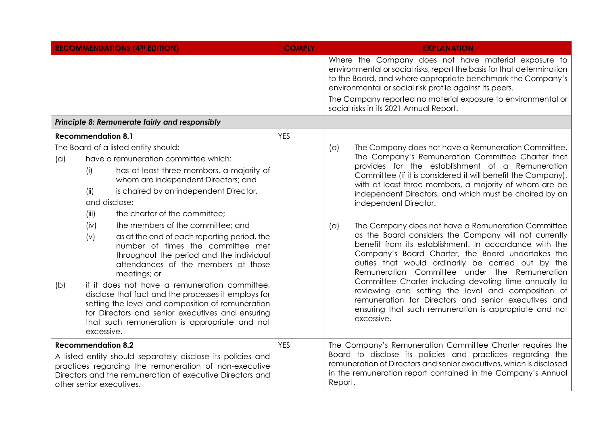| <b>RECOMMENDATIONS (4TH EDITION)</b>                                                                                                                                                                                                                                                                                                                                                                                                                                              | <b>COMPLY</b> | <b>EXPLANATION</b>                                                                                                                                                                                                                                                                                                                                                                                                                                                                                                                |  |  |
|-----------------------------------------------------------------------------------------------------------------------------------------------------------------------------------------------------------------------------------------------------------------------------------------------------------------------------------------------------------------------------------------------------------------------------------------------------------------------------------|---------------|-----------------------------------------------------------------------------------------------------------------------------------------------------------------------------------------------------------------------------------------------------------------------------------------------------------------------------------------------------------------------------------------------------------------------------------------------------------------------------------------------------------------------------------|--|--|
|                                                                                                                                                                                                                                                                                                                                                                                                                                                                                   |               | Where the Company does not have material exposure to<br>environmental or social risks, report the basis for that determination<br>to the Board, and where appropriate benchmark the Company's<br>environmental or social risk profile against its peers.                                                                                                                                                                                                                                                                          |  |  |
|                                                                                                                                                                                                                                                                                                                                                                                                                                                                                   |               | The Company reported no material exposure to environmental or<br>social risks in its 2021 Annual Report.                                                                                                                                                                                                                                                                                                                                                                                                                          |  |  |
| Principle 8: Remunerate fairly and responsibly                                                                                                                                                                                                                                                                                                                                                                                                                                    |               |                                                                                                                                                                                                                                                                                                                                                                                                                                                                                                                                   |  |  |
| <b>Recommendation 8.1</b>                                                                                                                                                                                                                                                                                                                                                                                                                                                         | <b>YES</b>    |                                                                                                                                                                                                                                                                                                                                                                                                                                                                                                                                   |  |  |
| The Board of a listed entity should:<br>have a remuneration committee which:<br>(a)<br>has at least three members, a majority of<br>(i)<br>whom are independent Directors; and<br>is chaired by an independent Director,<br>(ii)<br>and disclose:<br>the charter of the committee;<br>(iii)<br>the members of the committee; and<br>(iv)                                                                                                                                          |               | The Company does not have a Remuneration Committee.<br>(a)<br>The Company's Remuneration Committee Charter that<br>provides for the establishment of a Remuneration<br>Committee (if it is considered it will benefit the Company),<br>with at least three members, a majority of whom are be<br>independent Directors, and which must be chaired by an<br>independent Director.<br>The Company does not have a Remuneration Committee                                                                                            |  |  |
| (v)<br>as at the end of each reporting period, the<br>number of times the committee met<br>throughout the period and the individual<br>attendances of the members at those<br>meetings; or<br>if it does not have a remuneration committee,<br>(b)<br>disclose that fact and the processes it employs for<br>setting the level and composition of remuneration<br>for Directors and senior executives and ensuring<br>that such remuneration is appropriate and not<br>excessive. |               | (a)<br>as the Board considers the Company will not currently<br>benefit from its establishment. In accordance with the<br>Company's Board Charter, the Board undertakes the<br>duties that would ordinarily be carried out by the<br>Remuneration Committee under the Remuneration<br>Committee Charter including devoting time annually to<br>reviewing and setting the level and composition of<br>remuneration for Directors and senior executives and<br>ensuring that such remuneration is appropriate and not<br>excessive. |  |  |
| <b>Recommendation 8.2</b><br>A listed entity should separately disclose its policies and<br>practices regarding the remuneration of non-executive<br>Directors and the remuneration of executive Directors and<br>other senior executives.                                                                                                                                                                                                                                        | <b>YES</b>    | The Company's Remuneration Committee Charter requires the<br>Board to disclose its policies and practices regarding the<br>remuneration of Directors and senior executives, which is disclosed<br>in the remuneration report contained in the Company's Annual<br>Report.                                                                                                                                                                                                                                                         |  |  |